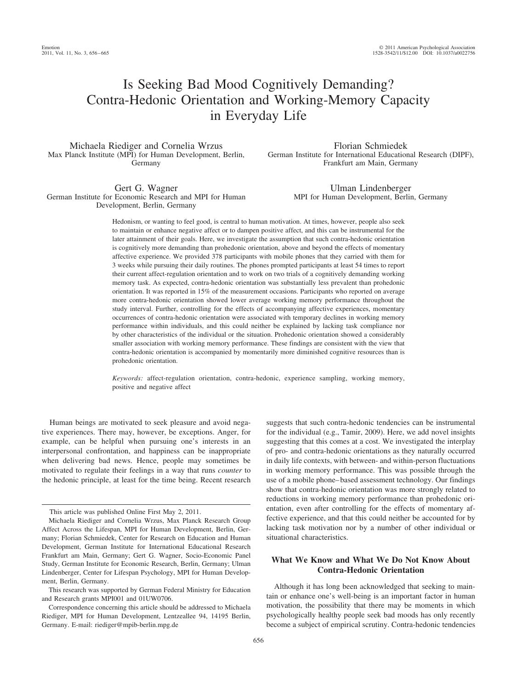# Is Seeking Bad Mood Cognitively Demanding? Contra-Hedonic Orientation and Working-Memory Capacity in Everyday Life

Michaela Riediger and Cornelia Wrzus Max Planck Institute (MPI) for Human Development, Berlin, Germany

Gert G. Wagner German Institute for Economic Research and MPI for Human Development, Berlin, Germany

Florian Schmiedek German Institute for International Educational Research (DIPF), Frankfurt am Main, Germany

> Ulman Lindenberger MPI for Human Development, Berlin, Germany

Hedonism, or wanting to feel good, is central to human motivation. At times, however, people also seek to maintain or enhance negative affect or to dampen positive affect, and this can be instrumental for the later attainment of their goals. Here, we investigate the assumption that such contra-hedonic orientation is cognitively more demanding than prohedonic orientation, above and beyond the effects of momentary affective experience. We provided 378 participants with mobile phones that they carried with them for 3 weeks while pursuing their daily routines. The phones prompted participants at least 54 times to report their current affect-regulation orientation and to work on two trials of a cognitively demanding working memory task. As expected, contra-hedonic orientation was substantially less prevalent than prohedonic orientation. It was reported in 15% of the measurement occasions. Participants who reported on average more contra-hedonic orientation showed lower average working memory performance throughout the study interval. Further, controlling for the effects of accompanying affective experiences, momentary occurrences of contra-hedonic orientation were associated with temporary declines in working memory performance within individuals, and this could neither be explained by lacking task compliance nor by other characteristics of the individual or the situation. Prohedonic orientation showed a considerably smaller association with working memory performance. These findings are consistent with the view that contra-hedonic orientation is accompanied by momentarily more diminished cognitive resources than is prohedonic orientation.

*Keywords:* affect-regulation orientation, contra-hedonic, experience sampling, working memory, positive and negative affect

Human beings are motivated to seek pleasure and avoid negative experiences. There may, however, be exceptions. Anger, for example, can be helpful when pursuing one's interests in an interpersonal confrontation, and happiness can be inappropriate when delivering bad news. Hence, people may sometimes be motivated to regulate their feelings in a way that runs *counter* to the hedonic principle, at least for the time being. Recent research

This research was supported by German Federal Ministry for Education and Research grants MPI001 and 01UW0706.

suggests that such contra-hedonic tendencies can be instrumental for the individual (e.g., Tamir, 2009). Here, we add novel insights suggesting that this comes at a cost. We investigated the interplay of pro- and contra-hedonic orientations as they naturally occurred in daily life contexts, with between- and within-person fluctuations in working memory performance. This was possible through the use of a mobile phone– based assessment technology. Our findings show that contra-hedonic orientation was more strongly related to reductions in working memory performance than prohedonic orientation, even after controlling for the effects of momentary affective experience, and that this could neither be accounted for by lacking task motivation nor by a number of other individual or situational characteristics.

# **What We Know and What We Do Not Know About Contra-Hedonic Orientation**

Although it has long been acknowledged that seeking to maintain or enhance one's well-being is an important factor in human motivation, the possibility that there may be moments in which psychologically healthy people seek bad moods has only recently become a subject of empirical scrutiny. Contra-hedonic tendencies

This article was published Online First May 2, 2011.

Michaela Riediger and Cornelia Wrzus, Max Planck Research Group Affect Across the Lifespan, MPI for Human Development, Berlin, Germany; Florian Schmiedek, Center for Research on Education and Human Development, German Institute for International Educational Research Frankfurt am Main, Germany; Gert G. Wagner, Socio-Economic Panel Study, German Institute for Economic Research, Berlin, Germany; Ulman Lindenberger, Center for Lifespan Psychology, MPI for Human Development, Berlin, Germany.

Correspondence concerning this article should be addressed to Michaela Riediger, MPI for Human Development, Lentzeallee 94, 14195 Berlin, Germany. E-mail: riediger@mpib-berlin.mpg.de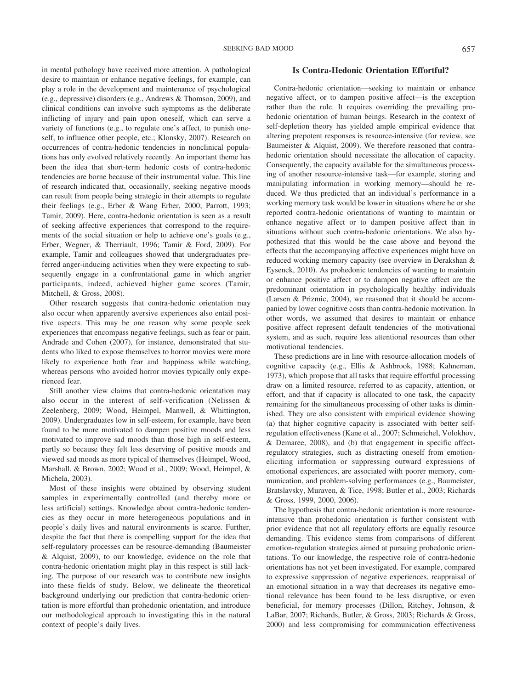in mental pathology have received more attention. A pathological desire to maintain or enhance negative feelings, for example, can play a role in the development and maintenance of psychological (e.g., depressive) disorders (e.g., Andrews & Thomson, 2009), and clinical conditions can involve such symptoms as the deliberate inflicting of injury and pain upon oneself, which can serve a variety of functions (e.g., to regulate one's affect, to punish oneself, to influence other people, etc.; Klonsky, 2007). Research on occurrences of contra-hedonic tendencies in nonclinical populations has only evolved relatively recently. An important theme has been the idea that short-term hedonic costs of contra-hedonic tendencies are borne because of their instrumental value. This line of research indicated that, occasionally, seeking negative moods can result from people being strategic in their attempts to regulate their feelings (e.g., Erber & Wang Erber, 2000; Parrott, 1993; Tamir, 2009). Here, contra-hedonic orientation is seen as a result of seeking affective experiences that correspond to the requirements of the social situation or help to achieve one's goals (e.g., Erber, Wegner, & Therriault, 1996; Tamir & Ford, 2009). For example, Tamir and colleagues showed that undergraduates preferred anger-inducing activities when they were expecting to subsequently engage in a confrontational game in which angrier participants, indeed, achieved higher game scores (Tamir, Mitchell, & Gross, 2008).

Other research suggests that contra-hedonic orientation may also occur when apparently aversive experiences also entail positive aspects. This may be one reason why some people seek experiences that encompass negative feelings, such as fear or pain. Andrade and Cohen (2007), for instance, demonstrated that students who liked to expose themselves to horror movies were more likely to experience both fear and happiness while watching, whereas persons who avoided horror movies typically only experienced fear.

Still another view claims that contra-hedonic orientation may also occur in the interest of self-verification (Nelissen & Zeelenberg, 2009; Wood, Heimpel, Manwell, & Whittington, 2009). Undergraduates low in self-esteem, for example, have been found to be more motivated to dampen positive moods and less motivated to improve sad moods than those high in self-esteem, partly so because they felt less deserving of positive moods and viewed sad moods as more typical of themselves (Heimpel, Wood, Marshall, & Brown, 2002; Wood et al., 2009; Wood, Heimpel, & Michela, 2003).

Most of these insights were obtained by observing student samples in experimentally controlled (and thereby more or less artificial) settings. Knowledge about contra-hedonic tendencies as they occur in more heterogeneous populations and in people's daily lives and natural environments is scarce. Further, despite the fact that there is compelling support for the idea that self-regulatory processes can be resource-demanding (Baumeister & Alquist, 2009), to our knowledge, evidence on the role that contra-hedonic orientation might play in this respect is still lacking. The purpose of our research was to contribute new insights into these fields of study. Below, we delineate the theoretical background underlying our prediction that contra-hedonic orientation is more effortful than prohedonic orientation, and introduce our methodological approach to investigating this in the natural context of people's daily lives.

# **Is Contra-Hedonic Orientation Effortful?**

Contra-hedonic orientation—seeking to maintain or enhance negative affect, or to dampen positive affect—is the exception rather than the rule. It requires overriding the prevailing prohedonic orientation of human beings. Research in the context of self-depletion theory has yielded ample empirical evidence that altering prepotent responses is resource-intensive (for review, see Baumeister & Alquist, 2009). We therefore reasoned that contrahedonic orientation should necessitate the allocation of capacity. Consequently, the capacity available for the simultaneous processing of another resource-intensive task—for example, storing and manipulating information in working memory—should be reduced. We thus predicted that an individual's performance in a working memory task would be lower in situations where he or she reported contra-hedonic orientations of wanting to maintain or enhance negative affect or to dampen positive affect than in situations without such contra-hedonic orientations. We also hypothesized that this would be the case above and beyond the effects that the accompanying affective experiences might have on reduced working memory capacity (see overview in Derakshan & Eysenck, 2010). As prohedonic tendencies of wanting to maintain or enhance positive affect or to dampen negative affect are the predominant orientation in psychologically healthy individuals (Larsen & Prizmic, 2004), we reasoned that it should be accompanied by lower cognitive costs than contra-hedonic motivation. In other words, we assumed that desires to maintain or enhance positive affect represent default tendencies of the motivational system, and as such, require less attentional resources than other motivational tendencies.

These predictions are in line with resource-allocation models of cognitive capacity (e.g., Ellis & Ashbrook, 1988; Kahneman, 1973), which propose that all tasks that require effortful processing draw on a limited resource, referred to as capacity, attention, or effort, and that if capacity is allocated to one task, the capacity remaining for the simultaneous processing of other tasks is diminished. They are also consistent with empirical evidence showing (a) that higher cognitive capacity is associated with better selfregulation effectiveness (Kane et al., 2007; Schmeichel, Volokhov, & Demaree, 2008), and (b) that engagement in specific affectregulatory strategies, such as distracting oneself from emotioneliciting information or suppressing outward expressions of emotional experiences, are associated with poorer memory, communication, and problem-solving performances (e.g., Baumeister, Bratslavsky, Muraven, & Tice, 1998; Butler et al., 2003; Richards & Gross, 1999, 2000, 2006).

The hypothesis that contra-hedonic orientation is more resourceintensive than prohedonic orientation is further consistent with prior evidence that not all regulatory efforts are equally resource demanding. This evidence stems from comparisons of different emotion-regulation strategies aimed at pursuing prohedonic orientations. To our knowledge, the respective role of contra-hedonic orientations has not yet been investigated. For example, compared to expressive suppression of negative experiences, reappraisal of an emotional situation in a way that decreases its negative emotional relevance has been found to be less disruptive, or even beneficial, for memory processes (Dillon, Ritchey, Johnson, & LaBar, 2007; Richards, Butler, & Gross, 2003; Richards & Gross, 2000) and less compromising for communication effectiveness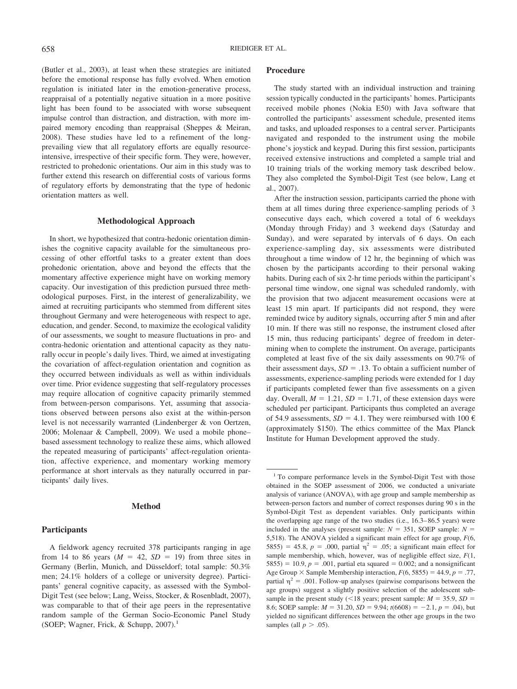(Butler et al., 2003), at least when these strategies are initiated before the emotional response has fully evolved. When emotion regulation is initiated later in the emotion-generative process, reappraisal of a potentially negative situation in a more positive light has been found to be associated with worse subsequent impulse control than distraction, and distraction, with more impaired memory encoding than reappraisal (Sheppes & Meiran, 2008). These studies have led to a refinement of the longprevailing view that all regulatory efforts are equally resourceintensive, irrespective of their specific form. They were, however, restricted to prohedonic orientations. Our aim in this study was to further extend this research on differential costs of various forms of regulatory efforts by demonstrating that the type of hedonic orientation matters as well.

#### **Methodological Approach**

In short, we hypothesized that contra-hedonic orientation diminishes the cognitive capacity available for the simultaneous processing of other effortful tasks to a greater extent than does prohedonic orientation, above and beyond the effects that the momentary affective experience might have on working memory capacity. Our investigation of this prediction pursued three methodological purposes. First, in the interest of generalizability, we aimed at recruiting participants who stemmed from different sites throughout Germany and were heterogeneous with respect to age, education, and gender. Second, to maximize the ecological validity of our assessments, we sought to measure fluctuations in pro- and contra-hedonic orientation and attentional capacity as they naturally occur in people's daily lives. Third, we aimed at investigating the covariation of affect-regulation orientation and cognition as they occurred between individuals as well as within individuals over time. Prior evidence suggesting that self-regulatory processes may require allocation of cognitive capacity primarily stemmed from between-person comparisons. Yet, assuming that associations observed between persons also exist at the within-person level is not necessarily warranted (Lindenberger & von Oertzen, 2006; Molenaar & Campbell, 2009). We used a mobile phone– based assessment technology to realize these aims, which allowed the repeated measuring of participants' affect-regulation orientation, affective experience, and momentary working memory performance at short intervals as they naturally occurred in participants' daily lives.

#### **Method**

#### **Participants**

A fieldwork agency recruited 378 participants ranging in age from 14 to 86 years  $(M = 42, SD = 19)$  from three sites in Germany (Berlin, Munich, and Düsseldorf; total sample: 50.3% men; 24.1% holders of a college or university degree). Participants' general cognitive capacity, as assessed with the Symbol-Digit Test (see below; Lang, Weiss, Stocker, & Rosenbladt, 2007), was comparable to that of their age peers in the representative random sample of the German Socio-Economic Panel Study (SOEP; Wagner, Frick, & Schupp,  $2007$ ).<sup>1</sup>

#### **Procedure**

The study started with an individual instruction and training session typically conducted in the participants' homes. Participants received mobile phones (Nokia E50) with Java software that controlled the participants' assessment schedule, presented items and tasks, and uploaded responses to a central server. Participants navigated and responded to the instrument using the mobile phone's joystick and keypad. During this first session, participants received extensive instructions and completed a sample trial and 10 training trials of the working memory task described below. They also completed the Symbol-Digit Test (see below, Lang et al., 2007).

After the instruction session, participants carried the phone with them at all times during three experience-sampling periods of 3 consecutive days each, which covered a total of 6 weekdays (Monday through Friday) and 3 weekend days (Saturday and Sunday), and were separated by intervals of 6 days. On each experience-sampling day, six assessments were distributed throughout a time window of 12 hr, the beginning of which was chosen by the participants according to their personal waking habits. During each of six 2-hr time periods within the participant's personal time window, one signal was scheduled randomly, with the provision that two adjacent measurement occasions were at least 15 min apart. If participants did not respond, they were reminded twice by auditory signals, occurring after 5 min and after 10 min. If there was still no response, the instrument closed after 15 min, thus reducing participants' degree of freedom in determining when to complete the instrument. On average, participants completed at least five of the six daily assessments on 90.7% of their assessment days,  $SD = .13$ . To obtain a sufficient number of assessments, experience-sampling periods were extended for 1 day if participants completed fewer than five assessments on a given day. Overall,  $M = 1.21$ ,  $SD = 1.71$ , of these extension days were scheduled per participant. Participants thus completed an average of 54.9 assessments,  $SD = 4.1$ . They were reimbursed with 100 € (approximately \$150). The ethics committee of the Max Planck Institute for Human Development approved the study.

<sup>&</sup>lt;sup>1</sup> To compare performance levels in the Symbol-Digit Test with those obtained in the SOEP assessment of 2006, we conducted a univariate analysis of variance (ANOVA), with age group and sample membership as between-person factors and number of correct responses during 90 s in the Symbol-Digit Test as dependent variables. Only participants within the overlapping age range of the two studies (i.e., 16.3– 86.5 years) were included in the analyses (present sample:  $N = 351$ , SOEP sample:  $N =$ 5,518). The ANOVA yielded a significant main effect for age group, *F*(6, 5855) = 45.8,  $p = .000$ , partial  $\eta^2 = .05$ ; a significant main effect for sample membership, which, however, was of negligible effect size, *F*(1,  $5855$ ) = 10.9,  $p = .001$ , partial eta squared = 0.002; and a nonsignificant Age Group  $\times$  Sample Membership interaction,  $F(6, 5855) = 44.9, p = .77,$ partial  $\eta^2$  = .001. Follow-up analyses (pairwise comparisons between the age groups) suggest a slightly positive selection of the adolescent subsample in the present study ( $\leq$ 18 years; present sample:  $M = 35.9$ ,  $SD =$ 8.6; SOEP sample:  $M = 31.20$ ,  $SD = 9.94$ ;  $t(6608) = -2.1$ ,  $p = .04$ ), but yielded no significant differences between the other age groups in the two samples (all  $p > .05$ ).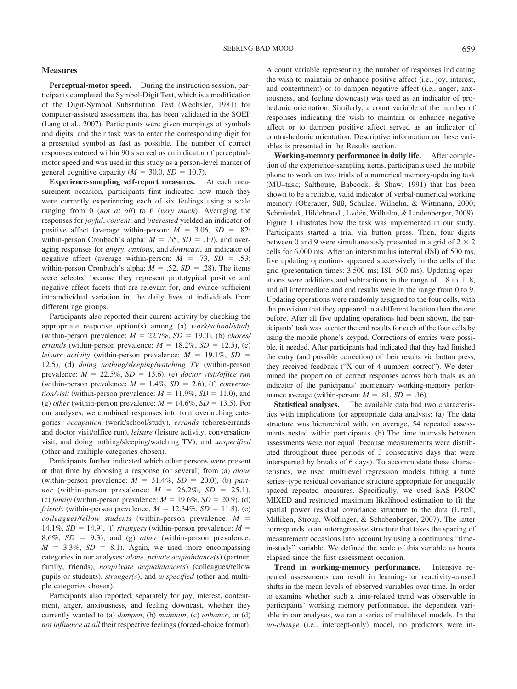#### **Measures**

**Perceptual-motor speed.** During the instruction session, participants completed the Symbol-Digit Test, which is a modification of the Digit-Symbol Substitution Test (Wechsler, 1981) for computer-assisted assessment that has been validated in the SOEP (Lang et al., 2007). Participants were given mappings of symbols and digits, and their task was to enter the corresponding digit for a presented symbol as fast as possible. The number of correct responses entered within 90 s served as an indicator of perceptualmotor speed and was used in this study as a person-level marker of general cognitive capacity ( $M = 30.0$ ,  $SD = 10.7$ ).

**Experience-sampling self-report measures.** At each measurement occasion, participants first indicated how much they were currently experiencing each of six feelings using a scale ranging from 0 (*not at all*) to 6 (*very much*). Averaging the responses for *joyful*, *content*, and *interested* yielded an indicator of positive affect (average within-person:  $M = 3.06$ ,  $SD = .82$ ; within-person Cronbach's alpha:  $M = .65$ ,  $SD = .19$ ), and averaging responses for *angry*, *anxious*, and *downcast*, an indicator of negative affect (average within-person:  $M = .73$ ,  $SD = .53$ ; within-person Cronbach's alpha:  $M = .52$ ,  $SD = .28$ ). The items were selected because they represent prototypical positive and negative affect facets that are relevant for, and evince sufficient intraindividual variation in, the daily lives of individuals from different age groups.

Participants also reported their current activity by checking the appropriate response option(s) among (a) *work/school/study* (within-person prevalence:  $M = 22.7\%$ ,  $SD = 19.0$ ), (b) *chores*/ *errands* (within-person prevalence:  $M = 18.2\%$ ,  $SD = 12.5$ ), (c) *leisure activity* (within-person prevalence:  $M = 19.1\%$ ,  $SD =$ 12.5), (d) *doing nothing/sleeping/watching TV* (within-person prevalence:  $M = 22.5\%$ ,  $SD = 13.6$ ), (e) *doctor visit/office run* (within-person prevalence:  $M = 1.4\%$ ,  $SD = 2.6$ ), (f) *conversation/visit* (within-person prevalence:  $M = 11.9\%$ ,  $SD = 11.0$ ), and (g) *other* (within-person prevalence:  $M = 14.6\%$ ,  $SD = 13.5$ ). For our analyses, we combined responses into four overarching categories: *occupation* (work/school/study), *errands* (chores/errands and doctor visit/office run), *leisure* (leisure activity, conversation/ visit, and doing nothing/sleeping/watching TV), and *unspecified* (other and multiple categories chosen).

Participants further indicated which other persons were present at that time by choosing a response (or several) from (a) *alone* (within-person prevalence:  $M = 31.4\%$ ,  $SD = 20.0$ ), (b) *partner* (within-person prevalence:  $M = 26.2\%$ ,  $SD = 25.1$ ), (c) *family* (within-person prevalence:  $M = 19.6\%$ ,  $SD = 20.9$ ), (d) *friends* (within-person prevalence:  $M = 12.34\%$ ,  $SD = 11.8$ ), (e)  $\textit{colleagues/fellow students}$  (within-person prevalence:  $M =$ 14.1%,  $SD = 14.9$ ), (f) *strangers* (within-person prevalence:  $M =$ 8.6%,  $SD = 9.3$ ), and (g) *other* (within-person prevalence:  $M = 3.3\%, SD = 8.1$ . Again, we used more encompassing categories in our analyses: *alone*, *private acquaintance(s*) (partner, family, friends), *nonprivate acquaintance(s*) (colleagues/fellow pupils or students), *stranger(s*), and *unspecified* (other and multiple categories chosen).

Participants also reported, separately for joy, interest, contentment, anger, anxiousness, and feeling downcast, whether they currently wanted to (a) *dampen*, (b) *maintain*, (c) *enhance*, or (d) *not influence at all* their respective feelings (forced-choice format). A count variable representing the number of responses indicating the wish to maintain or enhance positive affect (i.e., joy, interest, and contentment) or to dampen negative affect (i.e., anger, anxiousness, and feeling downcast) was used as an indicator of prohedonic orientation. Similarly, a count variable of the number of responses indicating the wish to maintain or enhance negative affect or to dampen positive affect served as an indicator of contra-hedonic orientation. Descriptive information on these variables is presented in the Results section.

**Working-memory performance in daily life.** After completion of the experience-sampling items, participants used the mobile phone to work on two trials of a numerical memory-updating task (MU–task; Salthouse, Babcock, & Shaw, 1991) that has been shown to be a reliable, valid indicator of verbal-numerical working memory (Oberauer, Süß, Schulze, Wilhelm, & Wittmann, 2000; Schmiedek, Hildebrandt, Lvdén, Wilhelm, & Lindenberger, 2009). Figure 1 illustrates how the task was implemented in our study. Participants started a trial via button press. Then, four digits between 0 and 9 were simultaneously presented in a grid of  $2 \times 2$ cells for 6,000 ms. After an interstimulus interval (ISI) of 500 ms, five updating operations appeared successively in the cells of the grid (presentation times: 3,500 ms; ISI: 500 ms). Updating operations were additions and subtractions in the range of  $-8$  to  $+8$ , and all intermediate and end results were in the range from 0 to 9. Updating operations were randomly assigned to the four cells, with the provision that they appeared in a different location than the one before. After all five updating operations had been shown, the participants' task was to enter the end results for each of the four cells by using the mobile phone's keypad. Corrections of entries were possible, if needed. After participants had indicated that they had finished the entry (and possible correction) of their results via button press, they received feedback ("X out of 4 numbers correct"). We determined the proportion of correct responses across both trials as an indicator of the participants' momentary working-memory performance average (within-person:  $M = .81$ ,  $SD = .16$ ).

**Statistical analyses.** The available data had two characteristics with implications for appropriate data analysis: (a) The data structure was hierarchical with, on average, 54 repeated assessments nested within participants. (b) The time intervals between assessments were not equal (because measurements were distributed throughout three periods of 3 consecutive days that were interspersed by breaks of 6 days). To accommodate these characteristics, we used multilevel regression models fitting a time series–type residual covariance structure appropriate for unequally spaced repeated measures. Specifically, we used SAS PROC MIXED and restricted maximum likelihood estimation to fit the spatial power residual covariance structure to the data (Littell, Milliken, Stroup, Wolfinger, & Schabenberger, 2007). The latter corresponds to an autoregressive structure that takes the spacing of measurement occasions into account by using a continuous "timein-study" variable. We defined the scale of this variable as hours elapsed since the first assessment occasion.

**Trend in working-memory performance.** Intensive repeated assessments can result in learning- or reactivity-caused shifts in the mean levels of observed variables over time. In order to examine whether such a time-related trend was observable in participants' working memory performance, the dependent variable in our analyses, we ran a series of multilevel models. In the *no-change* (i.e., intercept-only) model, no predictors were in-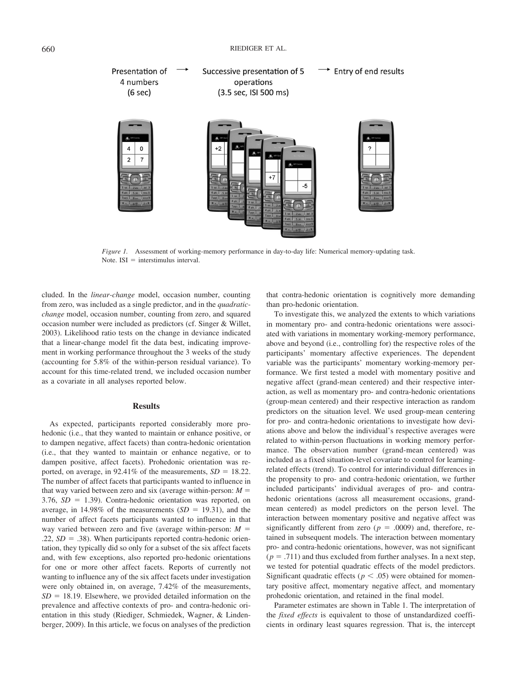

*Figure 1.* Assessment of working-memory performance in day-to-day life: Numerical memory-updating task. Note.  $ISI =$  interstimulus interval.

cluded. In the *linear-change* model, occasion number, counting from zero, was included as a single predictor, and in the *quadraticchange* model, occasion number, counting from zero, and squared occasion number were included as predictors (cf. Singer & Willet, 2003). Likelihood ratio tests on the change in deviance indicated that a linear-change model fit the data best, indicating improvement in working performance throughout the 3 weeks of the study (accounting for 5.8% of the within-person residual variance). To account for this time-related trend, we included occasion number as a covariate in all analyses reported below.

#### **Results**

As expected, participants reported considerably more prohedonic (i.e., that they wanted to maintain or enhance positive, or to dampen negative, affect facets) than contra-hedonic orientation (i.e., that they wanted to maintain or enhance negative, or to dampen positive, affect facets). Prohedonic orientation was reported, on average, in 92.41% of the measurements,  $SD = 18.22$ . The number of affect facets that participants wanted to influence in that way varied between zero and six (average within-person:  $M =$  $3.76$ ,  $SD = 1.39$ ). Contra-hedonic orientation was reported, on average, in 14.98% of the measurements  $(SD = 19.31)$ , and the number of affect facets participants wanted to influence in that way varied between zero and five (average within-person:  $M =$  $.22, SD = .38$ ). When participants reported contra-hedonic orientation, they typically did so only for a subset of the six affect facets and, with few exceptions, also reported pro-hedonic orientations for one or more other affect facets. Reports of currently not wanting to influence any of the six affect facets under investigation were only obtained in, on average, 7.42% of the measurements,  $SD = 18.19$ . Elsewhere, we provided detailed information on the prevalence and affective contexts of pro- and contra-hedonic orientation in this study (Riediger, Schmiedek, Wagner, & Lindenberger, 2009). In this article, we focus on analyses of the prediction

that contra-hedonic orientation is cognitively more demanding than pro-hedonic orientation.

To investigate this, we analyzed the extents to which variations in momentary pro- and contra-hedonic orientations were associated with variations in momentary working-memory performance, above and beyond (i.e., controlling for) the respective roles of the participants' momentary affective experiences. The dependent variable was the participants' momentary working-memory performance. We first tested a model with momentary positive and negative affect (grand-mean centered) and their respective interaction, as well as momentary pro- and contra-hedonic orientations (group-mean centered) and their respective interaction as random predictors on the situation level. We used group-mean centering for pro- and contra-hedonic orientations to investigate how deviations above and below the individual's respective averages were related to within-person fluctuations in working memory performance. The observation number (grand-mean centered) was included as a fixed situation-level covariate to control for learningrelated effects (trend). To control for interindividual differences in the propensity to pro- and contra-hedonic orientation, we further included participants' individual averages of pro- and contrahedonic orientations (across all measurement occasions, grandmean centered) as model predictors on the person level. The interaction between momentary positive and negative affect was significantly different from zero ( $p = .0009$ ) and, therefore, retained in subsequent models. The interaction between momentary pro- and contra-hedonic orientations, however, was not significant  $(p = .711)$  and thus excluded from further analyses. In a next step, we tested for potential quadratic effects of the model predictors. Significant quadratic effects ( $p < .05$ ) were obtained for momentary positive affect, momentary negative affect, and momentary prohedonic orientation, and retained in the final model.

Parameter estimates are shown in Table 1. The interpretation of the *fixed effects* is equivalent to those of unstandardized coefficients in ordinary least squares regression. That is, the intercept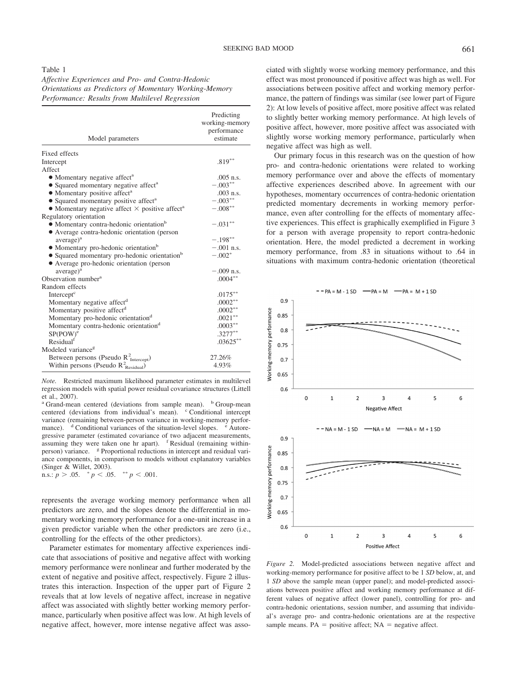# Table 1

*Affective Experiences and Pro- and Contra-Hedonic Orientations as Predictors of Momentary Working-Memory Performance: Results from Multilevel Regression*

| Model parameters                                                                             | Predicting<br>working-memory<br>performance<br>estimate |
|----------------------------------------------------------------------------------------------|---------------------------------------------------------|
| Fixed effects                                                                                |                                                         |
|                                                                                              |                                                         |
| Intercept<br>Affect                                                                          | $.819***$                                               |
|                                                                                              | $.005$ n.s.                                             |
| • Momentary negative affect <sup>a</sup><br>• Squared momentary negative affect <sup>a</sup> | $-.003**$                                               |
| • Momentary positive affect <sup>a</sup>                                                     | $.003$ n.s.                                             |
| • Squared momentary positive affect <sup>a</sup>                                             | $-.003***$                                              |
| • Momentary negative affect $\times$ positive affect <sup>a</sup>                            | $-.008**$                                               |
| Regulatory orientation                                                                       |                                                         |
| • Momentary contra-hedonic orientation <sup>b</sup>                                          | $-.031***$                                              |
| • Average contra-hedonic orientation (person                                                 |                                                         |
| average) <sup>a</sup>                                                                        | $-.198**$                                               |
| • Momentary pro-hedonic orientation <sup>b</sup>                                             | $-.001$ n.s.                                            |
| • Squared momentary pro-hedonic orientation <sup>b</sup>                                     | $-.002*$                                                |
| • Average pro-hedonic orientation (person                                                    |                                                         |
| average) <sup>a</sup>                                                                        | $-.009$ n.s.                                            |
| Observation number <sup>a</sup>                                                              | $.0004***$                                              |
| Random effects                                                                               |                                                         |
| Intercept <sup>c</sup>                                                                       | $.0175***$                                              |
| Momentary negative affect <sup>d</sup>                                                       | $.0002**$                                               |
| Momentary positive affect <sup>d</sup>                                                       | $.0002**$                                               |
| Momentary pro-hedonic orientation <sup>d</sup>                                               | $.0021***$                                              |
| Momentary contra-hedonic orientation <sup>d</sup>                                            | $.0003***$                                              |
| $SP(POW)^e$                                                                                  | $.3277***$                                              |
| Residual                                                                                     | $.03625***$                                             |
| Modeled variance <sup>g</sup>                                                                |                                                         |
| Between persons (Pseudo R <sup>2</sup> <sub>Intercept</sub> )                                | 27.26%                                                  |
| Within persons (Pseudo $R_{\text{Residual}}^2$ )                                             | 4.93%                                                   |

*Note.* Restricted maximum likelihood parameter estimates in multilevel regression models with spatial power residual covariance structures (Littell et al., 2007).

<sup>a</sup> Grand-mean centered (deviations from sample mean). <sup>b</sup> Group-mean centered (deviations from individual's mean). <sup>c</sup> Conditional intercept variance (remaining between-person variance in working-memory performance).  $d$  Conditional variances of the situation-level slopes.  $e^e$  Autoregressive parameter (estimated covariance of two adjacent measurements, assuming they were taken one hr apart). <sup>f</sup> Residual (remaining withinperson) variance.  $g$  Proportional reductions in intercept and residual variance components, in comparison to models without explanatory variables (Singer & Willet, 2003).

n.s.:  $p > .05.$   $\degree p < .05.$   $\degree p < .001.$ 

represents the average working memory performance when all predictors are zero, and the slopes denote the differential in momentary working memory performance for a one-unit increase in a given predictor variable when the other predictors are zero (i.e., controlling for the effects of the other predictors).

Parameter estimates for momentary affective experiences indicate that associations of positive and negative affect with working memory performance were nonlinear and further moderated by the extent of negative and positive affect, respectively. Figure 2 illustrates this interaction. Inspection of the upper part of Figure 2 reveals that at low levels of negative affect, increase in negative affect was associated with slightly better working memory performance, particularly when positive affect was low. At high levels of negative affect, however, more intense negative affect was associated with slightly worse working memory performance, and this effect was most pronounced if positive affect was high as well. For associations between positive affect and working memory performance, the pattern of findings was similar (see lower part of Figure 2): At low levels of positive affect, more positive affect was related to slightly better working memory performance. At high levels of positive affect, however, more positive affect was associated with slightly worse working memory performance, particularly when negative affect was high as well.

Our primary focus in this research was on the question of how pro- and contra-hedonic orientations were related to working memory performance over and above the effects of momentary affective experiences described above. In agreement with our hypotheses, momentary occurrences of contra-hedonic orientation predicted momentary decrements in working memory performance, even after controlling for the effects of momentary affective experiences. This effect is graphically exemplified in Figure 3 for a person with average propensity to report contra-hedonic orientation. Here, the model predicted a decrement in working memory performance, from .83 in situations without to .64 in situations with maximum contra-hedonic orientation (theoretical



*Figure 2.* Model-predicted associations between negative affect and working-memory performance for positive affect to be 1 *SD* below, at, and 1 *SD* above the sample mean (upper panel); and model-predicted associations between positive affect and working memory performance at different values of negative affect (lower panel), controlling for pro- and contra-hedonic orientations, session number, and assuming that individual's average pro- and contra-hedonic orientations are at the respective sample means.  $PA =$  positive affect;  $NA =$  negative affect.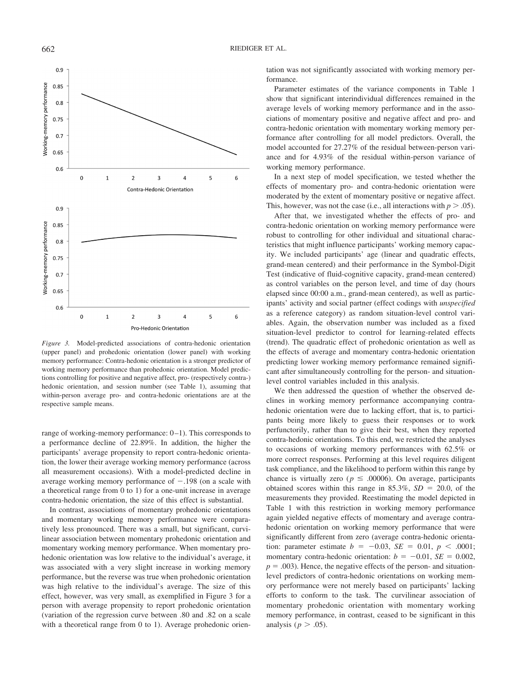

*Figure 3.* Model-predicted associations of contra-hedonic orientation (upper panel) and prohedonic orientation (lower panel) with working memory performance: Contra-hedonic orientation is a stronger predictor of working memory performance than prohedonic orientation. Model predictions controlling for positive and negative affect, pro- (respectively contra-) hedonic orientation, and session number (see Table 1), assuming that within-person average pro- and contra-hedonic orientations are at the respective sample means.

range of working-memory performance:  $0-1$ ). This corresponds to a performance decline of 22.89%. In addition, the higher the participants' average propensity to report contra-hedonic orientation, the lower their average working memory performance (across all measurement occasions). With a model-predicted decline in average working memory performance of  $-.198$  (on a scale with a theoretical range from 0 to 1) for a one-unit increase in average contra-hedonic orientation, the size of this effect is substantial.

In contrast, associations of momentary prohedonic orientations and momentary working memory performance were comparatively less pronounced. There was a small, but significant, curvilinear association between momentary prohedonic orientation and momentary working memory performance. When momentary prohedonic orientation was low relative to the individual's average, it was associated with a very slight increase in working memory performance, but the reverse was true when prohedonic orientation was high relative to the individual's average. The size of this effect, however, was very small, as exemplified in Figure 3 for a person with average propensity to report prohedonic orientation (variation of the regression curve between .80 and .82 on a scale with a theoretical range from 0 to 1). Average prohedonic orientation was not significantly associated with working memory performance.

Parameter estimates of the variance components in Table 1 show that significant interindividual differences remained in the average levels of working memory performance and in the associations of momentary positive and negative affect and pro- and contra-hedonic orientation with momentary working memory performance after controlling for all model predictors. Overall, the model accounted for 27.27% of the residual between-person variance and for 4.93% of the residual within-person variance of working memory performance.

In a next step of model specification, we tested whether the effects of momentary pro- and contra-hedonic orientation were moderated by the extent of momentary positive or negative affect. This, however, was not the case (i.e., all interactions with  $p > .05$ ).

After that, we investigated whether the effects of pro- and contra-hedonic orientation on working memory performance were robust to controlling for other individual and situational characteristics that might influence participants' working memory capacity. We included participants' age (linear and quadratic effects, grand-mean centered) and their performance in the Symbol-Digit Test (indicative of fluid-cognitive capacity, grand-mean centered) as control variables on the person level, and time of day (hours elapsed since 00:00 a.m., grand-mean centered), as well as participants' activity and social partner (effect codings with *unspecified* as a reference category) as random situation-level control variables. Again, the observation number was included as a fixed situation-level predictor to control for learning-related effects (trend). The quadratic effect of prohedonic orientation as well as the effects of average and momentary contra-hedonic orientation predicting lower working memory performance remained significant after simultaneously controlling for the person- and situationlevel control variables included in this analysis.

We then addressed the question of whether the observed declines in working memory performance accompanying contrahedonic orientation were due to lacking effort, that is, to participants being more likely to guess their responses or to work perfunctorily, rather than to give their best, when they reported contra-hedonic orientations. To this end, we restricted the analyses to occasions of working memory performances with 62.5% or more correct responses. Performing at this level requires diligent task compliance, and the likelihood to perform within this range by chance is virtually zero ( $p \leq .00006$ ). On average, participants obtained scores within this range in  $85.3\%$ ,  $SD = 20.0$ , of the measurements they provided. Reestimating the model depicted in Table 1 with this restriction in working memory performance again yielded negative effects of momentary and average contrahedonic orientation on working memory performance that were significantly different from zero (average contra-hedonic orientation: parameter estimate  $b = -0.03$ ,  $SE = 0.01$ ,  $p < .0001$ ; momentary contra-hedonic orientation:  $b = -0.01$ ,  $SE = 0.002$ ,  $p = .003$ ). Hence, the negative effects of the person- and situationlevel predictors of contra-hedonic orientations on working memory performance were not merely based on participants' lacking efforts to conform to the task. The curvilinear association of momentary prohedonic orientation with momentary working memory performance, in contrast, ceased to be significant in this analysis ( $p > .05$ ).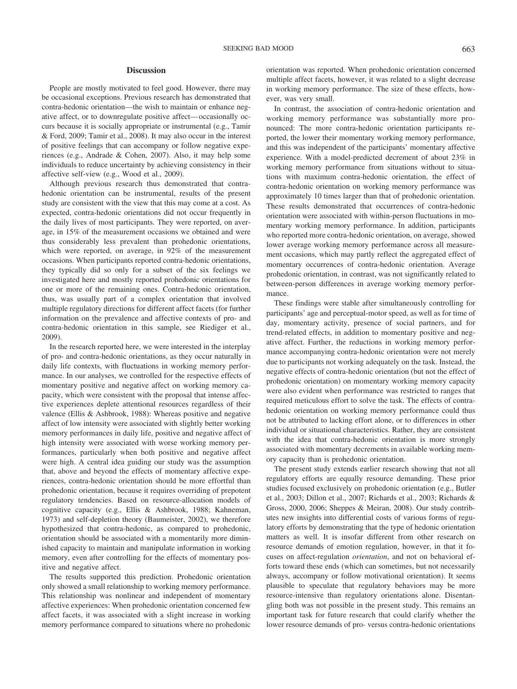### **Discussion**

People are mostly motivated to feel good. However, there may be occasional exceptions. Previous research has demonstrated that contra-hedonic orientation—the wish to maintain or enhance negative affect, or to downregulate positive affect— occasionally occurs because it is socially appropriate or instrumental (e.g., Tamir & Ford, 2009; Tamir et al., 2008). It may also occur in the interest of positive feelings that can accompany or follow negative experiences (e.g., Andrade & Cohen, 2007). Also, it may help some individuals to reduce uncertainty by achieving consistency in their affective self-view (e.g., Wood et al., 2009).

Although previous research thus demonstrated that contrahedonic orientation can be instrumental, results of the present study are consistent with the view that this may come at a cost. As expected, contra-hedonic orientations did not occur frequently in the daily lives of most participants. They were reported, on average, in 15% of the measurement occasions we obtained and were thus considerably less prevalent than prohedonic orientations, which were reported, on average, in 92% of the measurement occasions. When participants reported contra-hedonic orientations, they typically did so only for a subset of the six feelings we investigated here and mostly reported prohedonic orientations for one or more of the remaining ones. Contra-hedonic orientation, thus, was usually part of a complex orientation that involved multiple regulatory directions for different affect facets (for further information on the prevalence and affective contexts of pro- and contra-hedonic orientation in this sample, see Riediger et al., 2009).

In the research reported here, we were interested in the interplay of pro- and contra-hedonic orientations, as they occur naturally in daily life contexts, with fluctuations in working memory performance. In our analyses, we controlled for the respective effects of momentary positive and negative affect on working memory capacity, which were consistent with the proposal that intense affective experiences deplete attentional resources regardless of their valence (Ellis & Ashbrook, 1988): Whereas positive and negative affect of low intensity were associated with slightly better working memory performances in daily life, positive and negative affect of high intensity were associated with worse working memory performances, particularly when both positive and negative affect were high. A central idea guiding our study was the assumption that, above and beyond the effects of momentary affective experiences, contra-hedonic orientation should be more effortful than prohedonic orientation, because it requires overriding of prepotent regulatory tendencies. Based on resource-allocation models of cognitive capacity (e.g., Ellis & Ashbrook, 1988; Kahneman, 1973) and self-depletion theory (Baumeister, 2002), we therefore hypothesized that contra-hedonic, as compared to prohedonic, orientation should be associated with a momentarily more diminished capacity to maintain and manipulate information in working memory, even after controlling for the effects of momentary positive and negative affect.

The results supported this prediction. Prohedonic orientation only showed a small relationship to working memory performance. This relationship was nonlinear and independent of momentary affective experiences: When prohedonic orientation concerned few affect facets, it was associated with a slight increase in working memory performance compared to situations where no prohedonic orientation was reported. When prohedonic orientation concerned multiple affect facets, however, it was related to a slight decrease in working memory performance. The size of these effects, however, was very small.

In contrast, the association of contra-hedonic orientation and working memory performance was substantially more pronounced: The more contra-hedonic orientation participants reported, the lower their momentary working memory performance, and this was independent of the participants' momentary affective experience. With a model-predicted decrement of about 23% in working memory performance from situations without to situations with maximum contra-hedonic orientation, the effect of contra-hedonic orientation on working memory performance was approximately 10 times larger than that of prohedonic orientation. These results demonstrated that occurrences of contra-hedonic orientation were associated with within-person fluctuations in momentary working memory performance. In addition, participants who reported more contra-hedonic orientation, on average, showed lower average working memory performance across all measurement occasions, which may partly reflect the aggregated effect of momentary occurrences of contra-hedonic orientation. Average prohedonic orientation, in contrast, was not significantly related to between-person differences in average working memory performance.

These findings were stable after simultaneously controlling for participants' age and perceptual-motor speed, as well as for time of day, momentary activity, presence of social partners, and for trend-related effects, in addition to momentary positive and negative affect. Further, the reductions in working memory performance accompanying contra-hedonic orientation were not merely due to participants not working adequately on the task. Instead, the negative effects of contra-hedonic orientation (but not the effect of prohedonic orientation) on momentary working memory capacity were also evident when performance was restricted to ranges that required meticulous effort to solve the task. The effects of contrahedonic orientation on working memory performance could thus not be attributed to lacking effort alone, or to differences in other individual or situational characteristics. Rather, they are consistent with the idea that contra-hedonic orientation is more strongly associated with momentary decrements in available working memory capacity than is prohedonic orientation.

The present study extends earlier research showing that not all regulatory efforts are equally resource demanding. These prior studies focused exclusively on prohedonic orientation (e.g., Butler et al., 2003; Dillon et al., 2007; Richards et al., 2003; Richards & Gross, 2000, 2006; Sheppes & Meiran, 2008). Our study contributes new insights into differential costs of various forms of regulatory efforts by demonstrating that the type of hedonic orientation matters as well. It is insofar different from other research on resource demands of emotion regulation, however, in that it focuses on affect-regulation *orientation*, and not on behavioral efforts toward these ends (which can sometimes, but not necessarily always, accompany or follow motivational orientation). It seems plausible to speculate that regulatory behaviors may be more resource-intensive than regulatory orientations alone. Disentangling both was not possible in the present study. This remains an important task for future research that could clarify whether the lower resource demands of pro- versus contra-hedonic orientations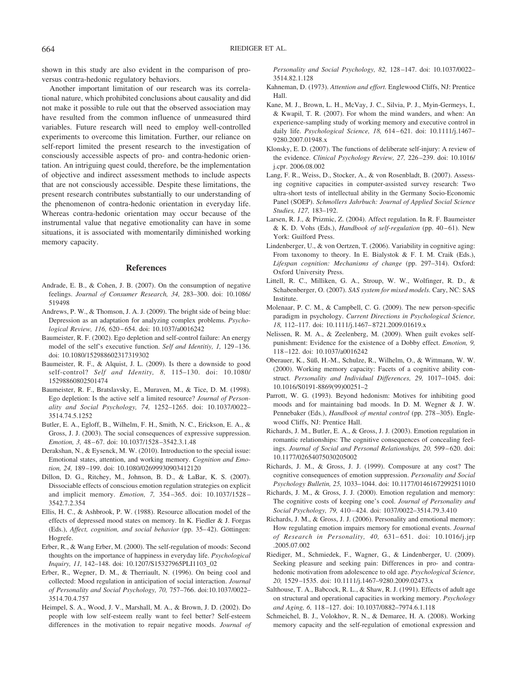shown in this study are also evident in the comparison of proversus contra-hedonic regulatory behaviors.

Another important limitation of our research was its correlational nature, which prohibited conclusions about causality and did not make it possible to rule out that the observed association may have resulted from the common influence of unmeasured third variables. Future research will need to employ well-controlled experiments to overcome this limitation. Further, our reliance on self-report limited the present research to the investigation of consciously accessible aspects of pro- and contra-hedonic orientation. An intriguing quest could, therefore, be the implementation of objective and indirect assessment methods to include aspects that are not consciously accessible. Despite these limitations, the present research contributes substantially to our understanding of the phenomenon of contra-hedonic orientation in everyday life. Whereas contra-hedonic orientation may occur because of the instrumental value that negative emotionality can have in some situations, it is associated with momentarily diminished working memory capacity.

#### **References**

- Andrade, E. B., & Cohen, J. B. (2007). On the consumption of negative feelings. *Journal of Consumer Research, 34,* 283–300. doi: 10.1086/ 519498
- Andrews, P. W., & Thomson, J. A. J. (2009). The bright side of being blue: Depression as an adaptation for analyzing complex problems. *Psychological Review, 116,* 620 – 654. doi: 10.1037/a0016242
- Baumeister, R. F. (2002). Ego depletion and self-control failure: An energy model of the self's executive function. *Self and Identitiy, 1,* 129 –136. doi: 10.1080/152988602317319302
- Baumeister, R. F., & Alquist, J. L. (2009). Is there a downside to good self-control? *Self and Identity, 8,* 115–130. doi: 10.1080/ 15298860802501474
- Baumeister, R. F., Bratslavsky, E., Muraven, M., & Tice, D. M. (1998). Ego depletion: Is the active self a limited resource? *Journal of Personality and Social Psychology, 74,* 1252–1265. doi: 10.1037/0022– 3514.74.5.1252
- Butler, E. A., Egloff, B., Wilhelm, F. H., Smith, N. C., Erickson, E. A., & Gross, J. J. (2003). The social consequences of expressive suppression. *Emotion, 3,* 48 – 67. doi: 10.1037/1528 –3542.3.1.48
- Derakshan, N., & Eysenck, M. W. (2010). Introduction to the special issue: Emotional states, attention, and working memory. *Cognition and Emotion, 24,* 189 –199. doi: 10.1080/02699930903412120
- Dillon, D. G., Ritchey, M., Johnson, B. D., & LaBar, K. S. (2007). Dissociable effects of conscious emotion regulation strategies on explicit and implicit memory. *Emotion, 7,* 354 –365. doi: 10.1037/1528 – 3542.7.2.354
- Ellis, H. C., & Ashbrook, P. W. (1988). Resource allocation model of the effects of depressed mood states on memory. In K. Fiedler & J. Forgas (Eds.), *Affect, cognition, and social behavior* (pp. 35-42). Göttingen: Hogrefe.
- Erber, R., & Wang Erber, M. (2000). The self-regulation of moods: Second thoughts on the importance of happiness in everyday life. *Psychological Inquiry, 11,* 142–148. doi: 10.1207/S15327965PLI1103\_02
- Erber, R., Wegner, D. M., & Therriault, N. (1996). On being cool and collected: Mood regulation in anticipation of social interaction. *Journal of Personality and Social Psychology, 70,* 757–766. doi:10.1037/0022– 3514.70.4.757
- Heimpel, S. A., Wood, J. V., Marshall, M. A., & Brown, J. D. (2002). Do people with low self-esteem really want to feel better? Self-esteem differences in the motivation to repair negative moods. *Journal of*

*Personality and Social Psychology, 82,* 128 –147. doi: 10.1037/0022– 3514.82.1.128

- Kahneman, D. (1973). *Attention and effort.* Englewood Cliffs, NJ: Prentice Hall.
- Kane, M. J., Brown, L. H., McVay, J. C., Silvia, P. J., Myin-Germeys, I., & Kwapil, T. R. (2007). For whom the mind wanders, and when: An experience-sampling study of working memory and executive control in daily life. *Psychological Science, 18,* 614 – 621. doi: 10.1111/j.1467– 9280.2007.01948.x
- Klonsky, E. D. (2007). The functions of deliberate self-injury: A review of the evidence. *Clinical Psychology Review, 27,* 226 –239. doi: 10.1016/ j.cpr. 2006.08.002
- Lang, F. R., Weiss, D., Stocker, A., & von Rosenbladt, B. (2007). Assessing cognitive capacities in computer-assisted survey research: Two ultra-short tests of intellectual ability in the Germany Socio-Economic Panel (SOEP). *Schmollers Jahrbuch: Journal of Applied Social Science Studies, 127,* 183–192.
- Larsen, R. J., & Prizmic, Z. (2004). Affect regulation. In R. F. Baumeister & K. D. Vohs (Eds.), *Handbook of self-regulation* (pp. 40-61). New York: Guilford Press.
- Lindenberger, U., & von Oertzen, T. (2006). Variability in cognitive aging: From taxonomy to theory. In E. Bialystok & F. I. M. Craik (Eds.), *Lifespan cognition: Mechanisms of change* (pp. 297–314). Oxford: Oxford University Press.
- Littell, R. C., Milliken, G. A., Stroup, W. W., Wolfinger, R. D., & Schabenberger, O. (2007). *SAS system for mixed models.* Cary, NC: SAS Institute.
- Molenaar, P. C. M., & Campbell, C. G. (2009). The new person-specific paradigm in psychology. *Current Directions in Psychological Science, 18,* 112–117. doi: 10.1111/j.1467– 8721.2009.01619.x
- Nelissen, R. M. A., & Zeelenberg, M. (2009). When guilt evokes selfpunishment: Evidence for the existence of a Dobby effect. *Emotion, 9,* 118 –122. doi: 10.1037/a0016242
- Oberauer, K., Süß, H.-M., Schulze, R., Wilhelm, O., & Wittmann, W. W. (2000). Working memory capacity: Facets of a cognitive ability construct. *Personality and Individual Differences, 29,* 1017–1045. doi: 10.1016/S0191-8869(99)00251–2
- Parrott, W. G. (1993). Beyond hedonism: Motives for inhibiting good moods and for maintaining bad moods. In D. M. Wegner & J. W. Pennebaker (Eds.), *Handbook of mental control* (pp. 278-305). Englewood Cliffs, NJ: Prentice Hall.
- Richards, J. M., Butler, E. A., & Gross, J. J. (2003). Emotion regulation in romantic relationships: The cognitive consequences of concealing feelings. *Journal of Social and Personal Relationships*, 20, 599-620. doi: 10.1177/02654075030205002
- Richards, J. M., & Gross, J. J. (1999). Composure at any cost? The cognitive consequences of emotion suppression. *Personality and Social Psychology Bulletin, 25,* 1033–1044. doi: 10.1177/01461672992511010
- Richards, J. M., & Gross, J. J. (2000). Emotion regulation and memory: The cognitive costs of keeping one's cool. *Journal of Personality and Social Psychology, 79,* 410 – 424. doi: 1037/0022–3514.79.3.410
- Richards, J. M., & Gross, J. J. (2006). Personality and emotional memory: How regulating emotion impairs memory for emotional events. *Journal of Research in Personality, 40,* 631– 651. doi: 10.1016/j.jrp .2005.07.002
- Riediger, M., Schmiedek, F., Wagner, G., & Lindenberger, U. (2009). Seeking pleasure and seeking pain: Differences in pro- and contrahedonic motivation from adolescence to old age. *Psychological Science, 20,* 1529 –1535. doi: 10.1111/j.1467–9280.2009.02473.x
- Salthouse, T. A., Babcock, R. L., & Shaw, R. J. (1991). Effects of adult age on structural and operational capacities in working memory. *Psychology and Aging, 6,* 118 –127. doi: 10.1037/0882–7974.6.1.118
- Schmeichel, B. J., Volokhov, R. N., & Demaree, H. A. (2008). Working memory capacity and the self-regulation of emotional expression and